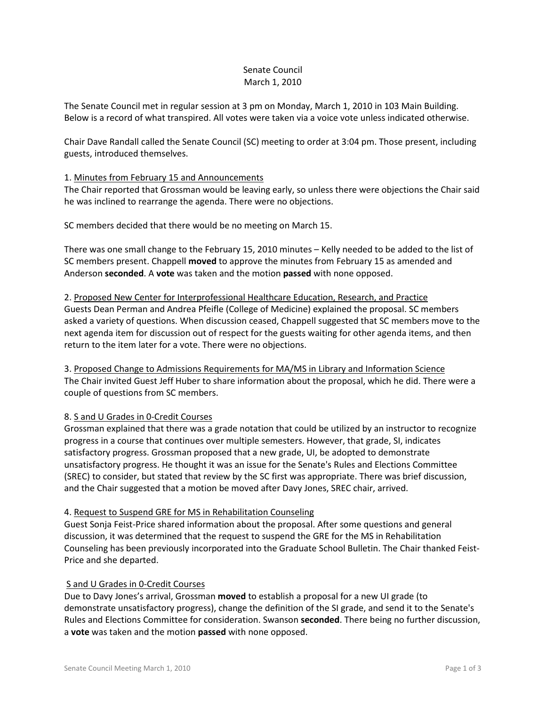## Senate Council March 1, 2010

The Senate Council met in regular session at 3 pm on Monday, March 1, 2010 in 103 Main Building. Below is a record of what transpired. All votes were taken via a voice vote unless indicated otherwise.

Chair Dave Randall called the Senate Council (SC) meeting to order at 3:04 pm. Those present, including guests, introduced themselves.

## 1. Minutes from February 15 and Announcements

The Chair reported that Grossman would be leaving early, so unless there were objections the Chair said he was inclined to rearrange the agenda. There were no objections.

SC members decided that there would be no meeting on March 15.

There was one small change to the February 15, 2010 minutes – Kelly needed to be added to the list of SC members present. Chappell **moved** to approve the minutes from February 15 as amended and Anderson **seconded**. A **vote** was taken and the motion **passed** with none opposed.

# 2. Proposed New Center for Interprofessional Healthcare Education, Research, and Practice Guests Dean Perman and Andrea Pfeifle (College of Medicine) explained the proposal. SC members asked a variety of questions. When discussion ceased, Chappell suggested that SC members move to the next agenda item for discussion out of respect for the guests waiting for other agenda items, and then return to the item later for a vote. There were no objections.

3. Proposed Change to Admissions Requirements for MA/MS in Library and Information Science The Chair invited Guest Jeff Huber to share information about the proposal, which he did. There were a couple of questions from SC members.

# 8. S and U Grades in 0-Credit Courses

Grossman explained that there was a grade notation that could be utilized by an instructor to recognize progress in a course that continues over multiple semesters. However, that grade, SI, indicates satisfactory progress. Grossman proposed that a new grade, UI, be adopted to demonstrate unsatisfactory progress. He thought it was an issue for the Senate's Rules and Elections Committee (SREC) to consider, but stated that review by the SC first was appropriate. There was brief discussion, and the Chair suggested that a motion be moved after Davy Jones, SREC chair, arrived.

## 4. Request to Suspend GRE for MS in Rehabilitation Counseling

Guest Sonja Feist-Price shared information about the proposal. After some questions and general discussion, it was determined that the request to suspend the GRE for the MS in Rehabilitation Counseling has been previously incorporated into the Graduate School Bulletin. The Chair thanked Feist-Price and she departed.

## S and U Grades in 0-Credit Courses

Due to Davy Jones's arrival, Grossman **moved** to establish a proposal for a new UI grade (to demonstrate unsatisfactory progress), change the definition of the SI grade, and send it to the Senate's Rules and Elections Committee for consideration. Swanson **seconded**. There being no further discussion, a **vote** was taken and the motion **passed** with none opposed.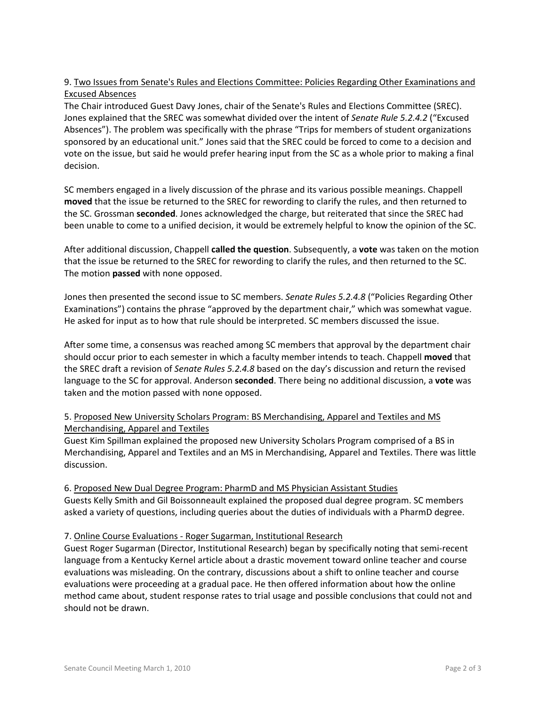# 9. Two Issues from Senate's Rules and Elections Committee: Policies Regarding Other Examinations and Excused Absences

The Chair introduced Guest Davy Jones, chair of the Senate's Rules and Elections Committee (SREC). Jones explained that the SREC was somewhat divided over the intent of *Senate Rule 5.2.4.2* ("Excused Absences"). The problem was specifically with the phrase "Trips for members of student organizations sponsored by an educational unit." Jones said that the SREC could be forced to come to a decision and vote on the issue, but said he would prefer hearing input from the SC as a whole prior to making a final decision.

SC members engaged in a lively discussion of the phrase and its various possible meanings. Chappell **moved** that the issue be returned to the SREC for rewording to clarify the rules, and then returned to the SC. Grossman **seconded**. Jones acknowledged the charge, but reiterated that since the SREC had been unable to come to a unified decision, it would be extremely helpful to know the opinion of the SC.

After additional discussion, Chappell **called the question**. Subsequently, a **vote** was taken on the motion that the issue be returned to the SREC for rewording to clarify the rules, and then returned to the SC. The motion **passed** with none opposed.

Jones then presented the second issue to SC members. *Senate Rules 5.2.4.8* ("Policies Regarding Other Examinations") contains the phrase "approved by the department chair," which was somewhat vague. He asked for input as to how that rule should be interpreted. SC members discussed the issue.

After some time, a consensus was reached among SC members that approval by the department chair should occur prior to each semester in which a faculty member intends to teach. Chappell **moved** that the SREC draft a revision of *Senate Rules 5.2.4.8* based on the day's discussion and return the revised language to the SC for approval. Anderson **seconded**. There being no additional discussion, a **vote** was taken and the motion passed with none opposed.

# 5. Proposed New University Scholars Program: BS Merchandising, Apparel and Textiles and MS Merchandising, Apparel and Textiles

Guest Kim Spillman explained the proposed new University Scholars Program comprised of a BS in Merchandising, Apparel and Textiles and an MS in Merchandising, Apparel and Textiles. There was little discussion.

6. Proposed New Dual Degree Program: PharmD and MS Physician Assistant Studies Guests Kelly Smith and Gil Boissonneault explained the proposed dual degree program. SC members asked a variety of questions, including queries about the duties of individuals with a PharmD degree.

# 7. Online Course Evaluations - Roger Sugarman, Institutional Research

Guest Roger Sugarman (Director, Institutional Research) began by specifically noting that semi-recent language from a Kentucky Kernel article about a drastic movement toward online teacher and course evaluations was misleading. On the contrary, discussions about a shift to online teacher and course evaluations were proceeding at a gradual pace. He then offered information about how the online method came about, student response rates to trial usage and possible conclusions that could not and should not be drawn.